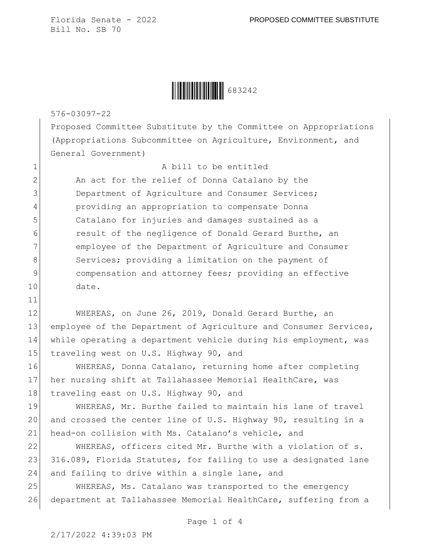

576-03097-22

11

Proposed Committee Substitute by the Committee on Appropriations (Appropriations Subcommittee on Agriculture, Environment, and General Government)

1 a bill to be entitled

2 An act for the relief of Donna Catalano by the 3 Department of Agriculture and Consumer Services; 4 providing an appropriation to compensate Donna 5 Catalano for injuries and damages sustained as a 6 result of the negligence of Donald Gerard Burthe, an 7 employee of the Department of Agriculture and Consumer 8 Services; providing a limitation on the payment of 9 compensation and attorney fees; providing an effective 10 date.

12 WHEREAS, on June 26, 2019, Donald Gerard Burthe, an 13 employee of the Department of Agriculture and Consumer Services, 14 while operating a department vehicle during his employment, was 15 traveling west on U.S. Highway 90, and

16 WHEREAS, Donna Catalano, returning home after completing 17 her nursing shift at Tallahassee Memorial HealthCare, was 18 traveling east on U.S. Highway 90, and

19 WHEREAS, Mr. Burthe failed to maintain his lane of travel 20 and crossed the center line of U.S. Highway 90, resulting in a 21 head-on collision with Ms. Catalano's vehicle, and

22 WHEREAS, officers cited Mr. Burthe with a violation of s. 23 316.089, Florida Statutes, for failing to use a designated lane 24 and failing to drive within a single lane, and

25 WHEREAS, Ms. Catalano was transported to the emergency 26 department at Tallahassee Memorial HealthCare, suffering from a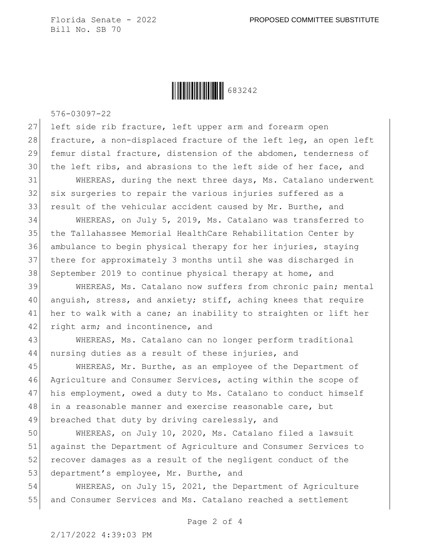

576-03097-22

27 left side rib fracture, left upper arm and forearm open 28 fracture, a non-displaced fracture of the left leg, an open left 29 femur distal fracture, distension of the abdomen, tenderness of 30 the left ribs, and abrasions to the left side of her face, and

31 WHEREAS, during the next three days, Ms. Catalano underwent 32 six surgeries to repair the various injuries suffered as a 33 result of the vehicular accident caused by Mr. Burthe, and

 WHEREAS, on July 5, 2019, Ms. Catalano was transferred to the Tallahassee Memorial HealthCare Rehabilitation Center by ambulance to begin physical therapy for her injuries, staying there for approximately 3 months until she was discharged in 38 September 2019 to continue physical therapy at home, and

39 WHEREAS, Ms. Catalano now suffers from chronic pain; mental 40 anguish, stress, and anxiety; stiff, aching knees that require 41 her to walk with a cane; an inability to straighten or lift her 42 right arm; and incontinence, and

43 WHEREAS, Ms. Catalano can no longer perform traditional 44 nursing duties as a result of these injuries, and

45 WHEREAS, Mr. Burthe, as an employee of the Department of 46 Agriculture and Consumer Services, acting within the scope of 47 his employment, owed a duty to Ms. Catalano to conduct himself 48 in a reasonable manner and exercise reasonable care, but 49 breached that duty by driving carelessly, and

50 WHEREAS, on July 10, 2020, Ms. Catalano filed a lawsuit 51 against the Department of Agriculture and Consumer Services to 52 recover damages as a result of the negligent conduct of the 53 department's employee, Mr. Burthe, and

54 WHEREAS, on July 15, 2021, the Department of Agriculture 55 and Consumer Services and Ms. Catalano reached a settlement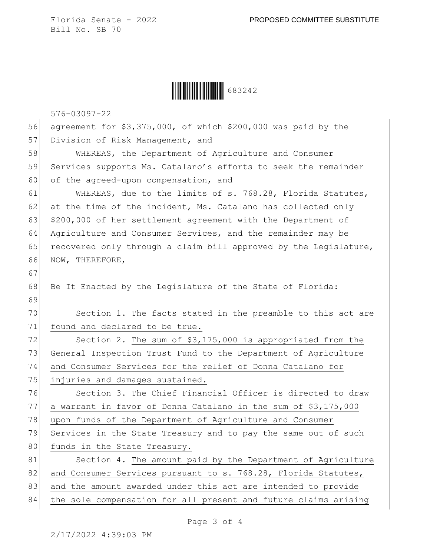Ì683242ÇÎ683242

576-03097-22

| 56 | agreement for \$3,375,000, of which \$200,000 was paid by the    |
|----|------------------------------------------------------------------|
| 57 | Division of Risk Management, and                                 |
| 58 | WHEREAS, the Department of Agriculture and Consumer              |
| 59 | Services supports Ms. Catalano's efforts to seek the remainder   |
| 60 | of the agreed-upon compensation, and                             |
| 61 | WHEREAS, due to the limits of s. 768.28, Florida Statutes,       |
| 62 | at the time of the incident, Ms. Catalano has collected only     |
| 63 | \$200,000 of her settlement agreement with the Department of     |
| 64 | Agriculture and Consumer Services, and the remainder may be      |
| 65 | recovered only through a claim bill approved by the Legislature, |
| 66 | NOW, THEREFORE,                                                  |
| 67 |                                                                  |
| 68 | Be It Enacted by the Legislature of the State of Florida:        |
| 69 |                                                                  |
| 70 | Section 1. The facts stated in the preamble to this act are      |
| 71 | found and declared to be true.                                   |
| 72 | Section 2. The sum of \$3,175,000 is appropriated from the       |
| 73 | General Inspection Trust Fund to the Department of Agriculture   |
| 74 | and Consumer Services for the relief of Donna Catalano for       |
| 75 | injuries and damages sustained.                                  |
| 76 | Section 3. The Chief Financial Officer is directed to draw       |
| 77 | a warrant in favor of Donna Catalano in the sum of \$3,175,000   |
| 78 | upon funds of the Department of Agriculture and Consumer         |
| 79 | Services in the State Treasury and to pay the same out of such   |
| 80 | funds in the State Treasury.                                     |
| 81 | Section 4. The amount paid by the Department of Agriculture      |
| 82 | and Consumer Services pursuant to s. 768.28, Florida Statutes,   |
| 83 | and the amount awarded under this act are intended to provide    |
| 84 | the sole compensation for all present and future claims arising  |

Page 3 of 4